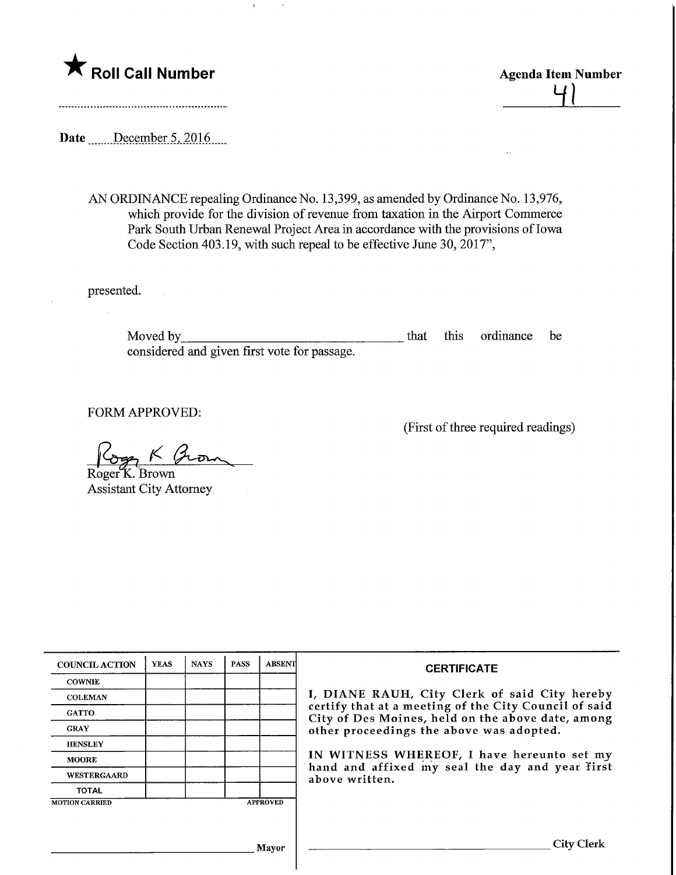

 $\frac{41}{5}$ 

(First of three required readings)

Date \_\_\_\_\_\_ December 5, 2016

AN ORDINANCE repealing Ordinance No. 13,399, as amended by Ordinance No. 13,976, which provide for the division of revenue from taxation in the Airport Commerce Park South Urban Renewal Project Area in accordance with the provisions of Iowa Code Section 403.19, with such repeal to be effective June 30,2017",

 $\frac{1}{2}$ 

presented.

Moved by that this ordinance be considered and given first vote for passage.

FORM APPROVED:

Cogn K From Roger<sup>K</sup>. Brown

Assistant City Attorney

| <b>COUNCIL ACTION</b> | <b>YEAS</b>     | <b>NAYS</b> | <b>PASS</b> | <b>ABSENT</b> | <b>CERTIFICATE</b>                                                                                                                                                                                                                                                                                                         |
|-----------------------|-----------------|-------------|-------------|---------------|----------------------------------------------------------------------------------------------------------------------------------------------------------------------------------------------------------------------------------------------------------------------------------------------------------------------------|
| <b>COWNIE</b>         |                 |             |             |               | I, DIANE RAUH, City Clerk of said City hereby<br>certify that at a meeting of the City Council of said<br>City of Des Moines, held on the above date, among<br>other proceedings the above was adopted.<br>IN WITNESS WHEREOF, I have hereunto set my<br>hand and affixed my seal the day and year first<br>above written. |
| <b>COLEMAN</b>        |                 |             |             |               |                                                                                                                                                                                                                                                                                                                            |
| <b>GATTO</b>          |                 |             |             |               |                                                                                                                                                                                                                                                                                                                            |
| <b>GRAY</b>           |                 |             |             |               |                                                                                                                                                                                                                                                                                                                            |
| <b>HENSLEY</b>        |                 |             |             |               |                                                                                                                                                                                                                                                                                                                            |
| <b>MOORE</b>          |                 |             |             |               |                                                                                                                                                                                                                                                                                                                            |
| <b>WESTERGAARD</b>    |                 |             |             |               |                                                                                                                                                                                                                                                                                                                            |
| <b>TOTAL</b>          |                 |             |             |               |                                                                                                                                                                                                                                                                                                                            |
| <b>MOTION CARRIED</b> | <b>APPROVED</b> |             |             |               |                                                                                                                                                                                                                                                                                                                            |
|                       |                 |             |             |               |                                                                                                                                                                                                                                                                                                                            |
| Mayor                 |                 |             |             |               | <b>City Clerk</b>                                                                                                                                                                                                                                                                                                          |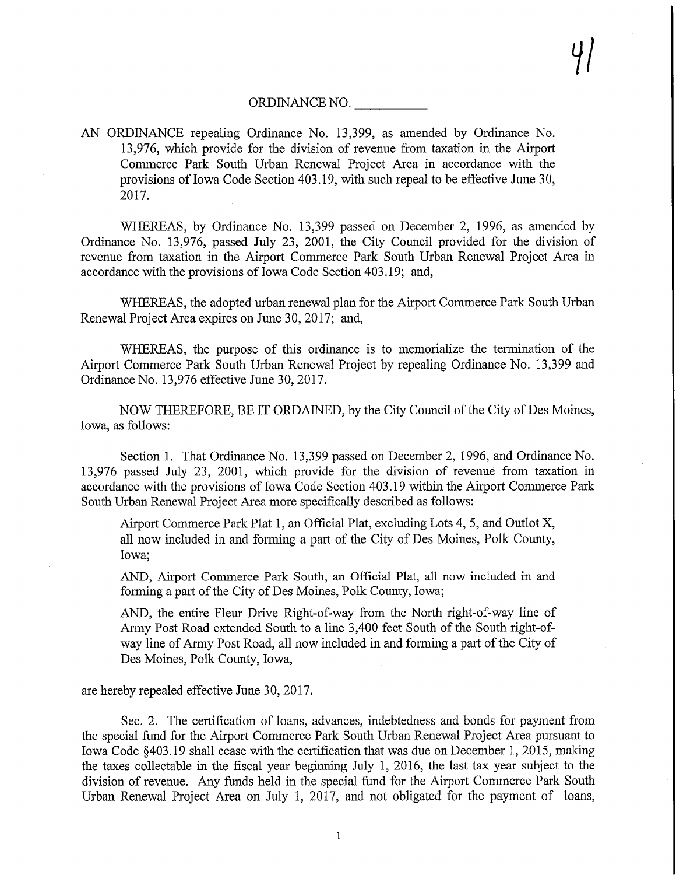## ORDINANCE NO.

AN ORDINANCE repealing Ordinance No. 13,399, as amended by Ordinance No. 13,976, which provide for the division of revenue from taxation in the Airport Commerce Park South Urban Renewal Project Area in accordance with the provisions of Iowa Code Section 403.19, with such repeal to be effective June 30, 2017.

WHEREAS, by Ordinance No. 13,399 passed on December 2, 1996, as amended by Ordinance No. 13,976, passed July 23, 2001, the City Council provided for the division of revenue from taxation in the Airport Commerce Park South Urban Renewal Project Area in accordance with the provisions of Iowa Code Section 403. 19; and,

WHEREAS, the adopted urban renewal plan for the Airport Commerce Park South Urban Renewal Project Area expires on June 30,2017; and,

WHEREAS, the purpose of this ordinance is to memorialize the termination of the Airport Commerce Park South Urban Renewal Project by repealing Ordinance No. 13,399 and Ordinance No. 13,976 effective June 30,2017.

NOW THEREFORE, BE IT ORDAINED, by the City Council of the City of Des Moines, Iowa, as follows:

Section 1. That Ordinance No. 13,399 passed on December 2, 1996, and Ordinance No. 13,976 passed July 23, 2001, which provide for the division of revenue from taxation in accordance with the provisions of Iowa Code Section 403.19 within the Airport Commerce Park South Urban Renewal Project Area more specifically described as follows:

Airport Commerce Park Plat 1, an Official Plat, excluding Lots 4, 5, and Outlot X, all now included in and forming a part of the City of Des Moines, Polk County, Iowa;

AND, Airport Commerce Park South, an Official Plat, all now included in and forming a part of the City of Des Moines, Polk County, Iowa;

AND, the entire Fleur Drive Right-of-way from the North right-of-way line of Army Post Road extended South to a line 3,400 feet South of the South right-ofway line of Army Post Road, all now included in and forming a part of the City of Des Moines, Polk County, Iowa,

are hereby repealed effective June 30,2017.

Sec. 2. The certification of loans, advances, indebtedness and bonds for payment from the special fund for the Airport Commerce Park South Urban Renewal Project Area pursuant to Iowa Code §403.19 shall cease with the certification that was due on December 1, 2015, making the taxes collectable in the fiscal year beginning July 1, 2016, the last tax year subject to the division of revenue. Any funds held in the special fund for the Airport Commerce Park South Urban Renewal Project Area on July 1, 2017, and not obligated for the payment of loans,